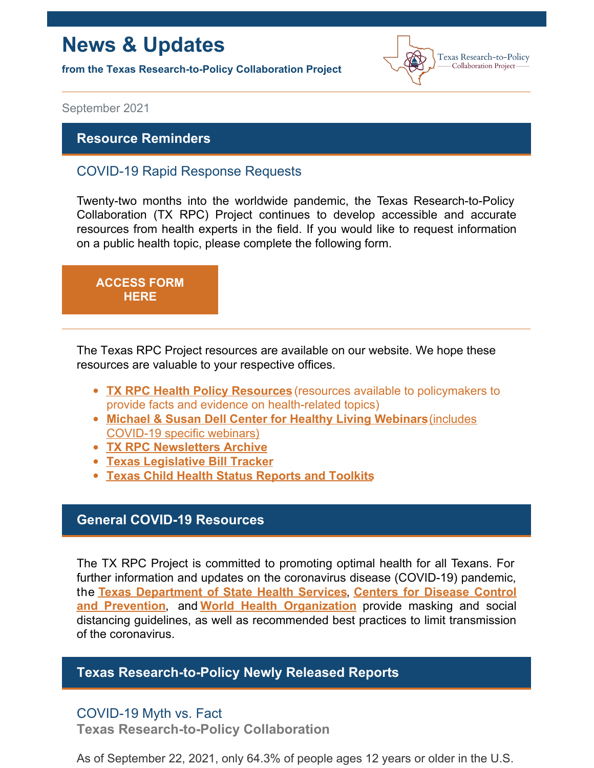## **News & Updates**

**from the Texas Research-to-Policy Collaboration Project**



September 2021

#### **Resource Reminders**

## COVID-19 Rapid Response Requests

Twenty-two months into the worldwide pandemic, the Texas Research-to-Policy Collaboration (TX RPC) Project continues to develop accessible and accurate resources from health experts in the field. If you would like to request information on a public health topic, please complete the following form.

# **[ACCESS](https://docs.google.com/forms/u/2/d/1Wugxw_5Z2snWP5rEmX4N88dLKRnqrsAPYug_bCWMdCo/viewform?edit_requested=true) FORM HERE**

The Texas RPC Project resources are available on our website. We hope these resources are valuable to your respective offices.

- **TX RPC Health Policy [Resources](https://sph.uth.edu/research/centers/dell/legislative-initiatives/texas-rpc-resources)** (resources available to policymakers to provide facts and evidence on health-related topics)
- **Michael & Susan Dell Center for Healthy Living [Webinars](https://sph.uth.edu/research/centers/dell/webinars/)**(includes COVID-19 specific webinars)
- **TX RPC [Newsletters](https://sph.uth.edu/research/centers/dell/legislative-initiatives/rpc-newsletters) Archive**
- **Texas [Legislative](https://sph.uth.edu/research/centers/dell/87th-texas-legislative-session/index.htm) Bill Tracker**
- **Texas Child Health Status [Reports](https://sph.uth.edu/research/centers/dell/texas-child-health-status-report/index.htm) and Toolkits**

### **General COVID-19 Resources**

The TX RPC Project is committed to promoting optimal health for all Texans. For further information and updates on the coronavirus disease (COVID-19) pandemic, the **Texas [Department](https://dshs.texas.gov/coronavirus/) of State Health Services**, **Centers for Disease Control and Prevention**, and **World Health [Organization](https://www.cdc.gov/coronavirus/2019-ncov/index.html)** provide masking and social distancing guidelines, as well as recommended best practices to limit transmission of the coronavirus.

### **Texas Research-to-Policy Newly Released Reports**

## COVID-19 Myth vs. Fact

**Texas Research-to-Policy Collaboration**

As of September 22, 2021, only 64.3% of people ages 12 years or older in the U.S.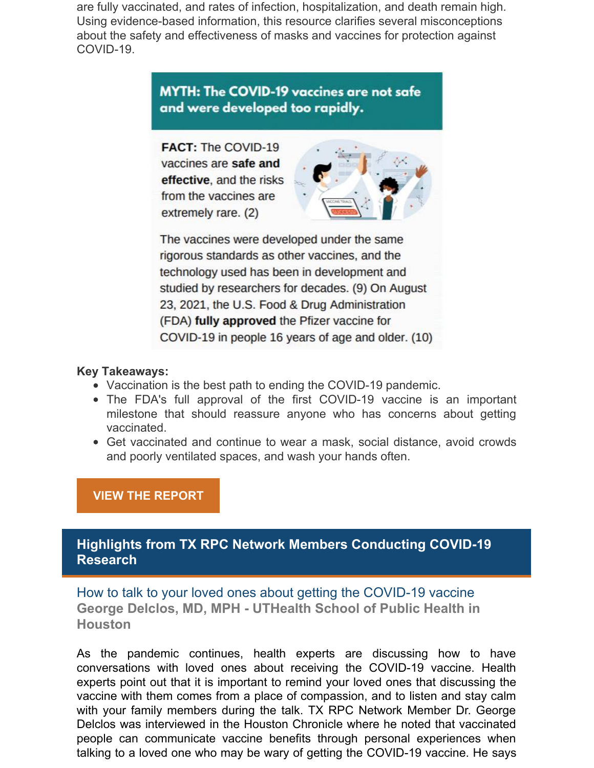are fully vaccinated, and rates of infection, hospitalization, and death remain high. Using evidence-based information, this resource clarifies several misconceptions about the safety and effectiveness of masks and vaccines for protection against COVID-19.

## **MYTH: The COVID-19 vaccines are not safe** and were developed too rapidly.

**FACT: The COVID-19** vaccines are safe and effective, and the risks from the vaccines are extremely rare. (2)



The vaccines were developed under the same rigorous standards as other vaccines, and the technology used has been in development and studied by researchers for decades. (9) On August 23, 2021, the U.S. Food & Drug Administration (FDA) fully approved the Pfizer vaccine for COVID-19 in people 16 years of age and older. (10)

#### **Key Takeaways:**

- Vaccination is the best path to ending the COVID-19 pandemic.
- The FDA's full approval of the first COVID-19 vaccine is an important milestone that should reassure anyone who has concerns about getting vaccinated.
- Get vaccinated and continue to wear a mask, social distance, avoid crowds and poorly ventilated spaces, and wash your hands often.

#### **VIEW THE [REPORT](https://sph.uth.edu/research/centers/dell/legislative-initiatives/COVID-19 Myth vs Fact.pdf)**

## **Highlights from TX RPC Network Members Conducting COVID-19 Research**

How to talk to your loved ones about getting the COVID-19 vaccine **George Delclos, MD, MPH - UTHealth School of Public Health in Houston**

As the pandemic continues, health experts are discussing how to have conversations with loved ones about receiving the COVID-19 vaccine. Health experts point out that it is important to remind your loved ones that discussing the vaccine with them comes from a place of compassion, and to listen and stay calm with your family members during the talk. TX RPC Network Member Dr. George Delclos was interviewed in the Houston Chronicle where he noted that vaccinated people can communicate vaccine benefits through personal experiences when talking to a loved one who may be wary of getting the COVID-19 vaccine. He says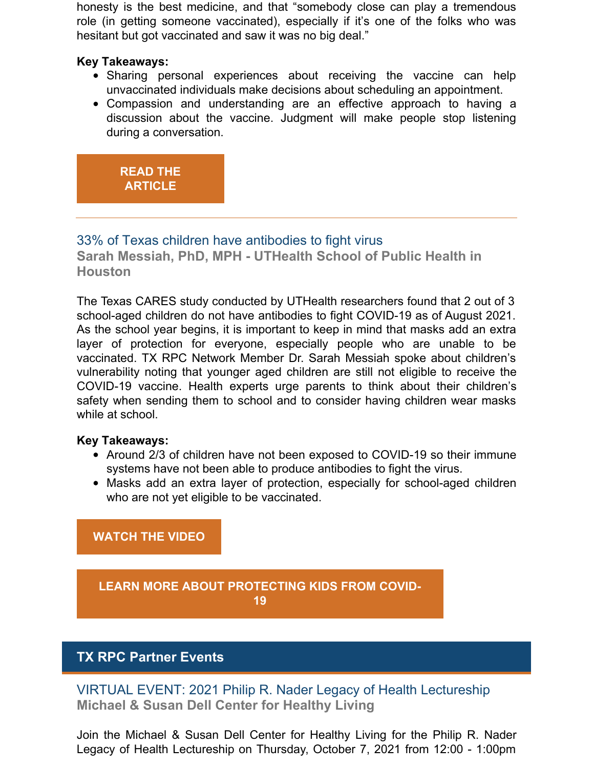honesty is the best medicine, and that "somebody close can play a tremendous role (in getting someone vaccinated), especially if it's one of the folks who was hesitant but got vaccinated and saw it was no big deal."

#### **Key Takeaways:**

- Sharing personal experiences about receiving the vaccine can help unvaccinated individuals make decisions about scheduling an appointment.
- Compassion and understanding are an effective approach to having a discussion about the vaccine. Judgment will make people stop listening during a conversation.

## **READ THE [ARTICLE](https://www.houstonchronicle.com/news/houston-texas/health/article/how-to-talk-to-family-about-covid-vaccine-16360071.php)**

## 33% of Texas children have antibodies to fight virus

**Sarah Messiah, PhD, MPH - UTHealth School of Public Health in Houston**

The Texas CARES study conducted by UTHealth researchers found that 2 out of 3 school-aged children do not have antibodies to fight COVID-19 as of August 2021. As the school year begins, it is important to keep in mind that masks add an extra layer of protection for everyone, especially people who are unable to be vaccinated. TX RPC Network Member Dr. Sarah Messiah spoke about children's vulnerability noting that younger aged children are still not eligible to receive the COVID-19 vaccine. Health experts urge parents to think about their children's safety when sending them to school and to consider having children wear masks while at school.

#### **Key Takeaways:**

- Around 2/3 of children have not been exposed to COVID-19 so their immune systems have not been able to produce antibodies to fight the virus.
- Masks add an extra layer of protection, especially for school-aged children who are not yet eligible to be vaccinated.

**[WATCH](https://archive.tveyes.com/7313/meltwater/f9266343-19a4-4d3e-b222-5ab3328436d2/KTRK_08-02-2021_06.37.18.mp4) THE VIDEO**

**LEARN MORE ABOUT [PROTECTING](https://sph.uth.edu/research/centers/dell/legislative-initiatives/Protecting+our+Children+from+COVID-19_09.08.21.pdf?language_id=1) KIDS FROM COVID-19**

## **TX RPC Partner Events**

VIRTUAL EVENT: 2021 Philip R. Nader Legacy of Health Lectureship **Michael & Susan Dell Center for Healthy Living**

Join the Michael & Susan Dell Center for Healthy Living for the Philip R. Nader Legacy of Health Lectureship on Thursday, October 7, 2021 from 12:00 - 1:00pm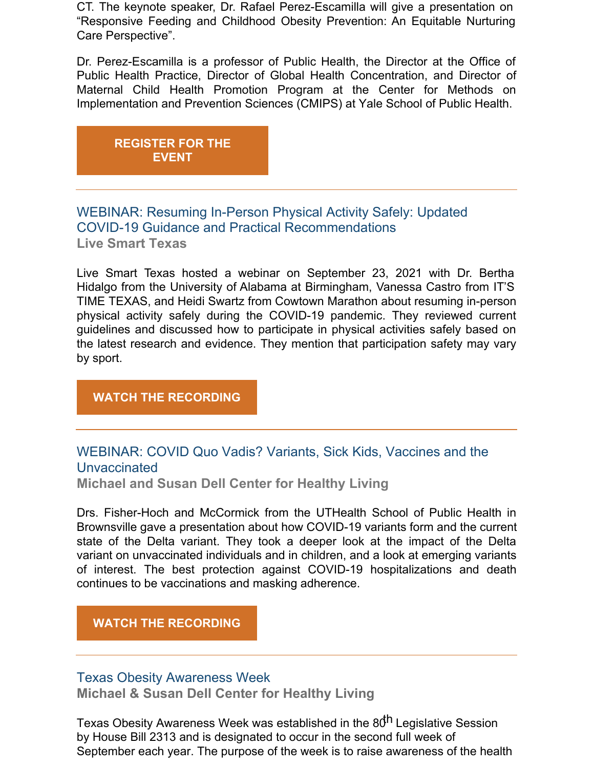CT. The keynote speaker, Dr. Rafael Perez-Escamilla will give a presentation on "Responsive Feeding and Childhood Obesity Prevention: An Equitable Nurturing Care Perspective".

Dr. Perez-Escamilla is a professor of Public Health, the Director at the Office of Public Health Practice, Director of Global Health Concentration, and Director of Maternal Child Health Promotion Program at the Center for Methods on Implementation and Prevention Sciences (CMIPS) at Yale School of Public Health.

**[REGISTER](https://register.gotowebinar.com/register/8925207990447772944) FOR THE EVENT**

## WEBINAR: Resuming In-Person Physical Activity Safely: Updated COVID-19 Guidance and Practical Recommendations **Live Smart Texas**

Live Smart Texas hosted a webinar on September 23, 2021 with Dr. Bertha Hidalgo from the University of Alabama at Birmingham, Vanessa Castro from IT'S TIME TEXAS, and Heidi Swartz from Cowtown Marathon about resuming in-person physical activity safely during the COVID-19 pandemic. They reviewed current guidelines and discussed how to participate in physical activities safely based on the latest research and evidence. They mention that participation safety may vary by sport.

#### **WATCH THE RECORDING**

## WEBINAR: COVID Quo Vadis? Variants, Sick Kids, Vaccines and the Unvaccinated

**Michael and Susan Dell Center for Healthy Living**

Drs. Fisher-Hoch and McCormick from the UTHealth School of Public Health in Brownsville gave a presentation about how COVID-19 variants form and the current state of the Delta variant. They took a deeper look at the impact of the Delta variant on unvaccinated individuals and in children, and a look at emerging variants of interest. The best protection against COVID-19 hospitalizations and death continues to be vaccinations and masking adherence.

#### **WATCH THE [RECORDING](https://sph.uth.edu/research/centers/dell/webinars/webinar.htm?id=c2b963bb-54e8-4a0f-9598-d93b5262e910)**

#### Texas Obesity Awareness Week

**Michael & Susan Dell Center for Healthy Living**

Texas Obesity Awareness Week was established in the 80<sup>th</sup> Legislative Session by House Bill 2313 and is designated to occur in the second full week of September each year. The purpose of the week is to raise awareness of the health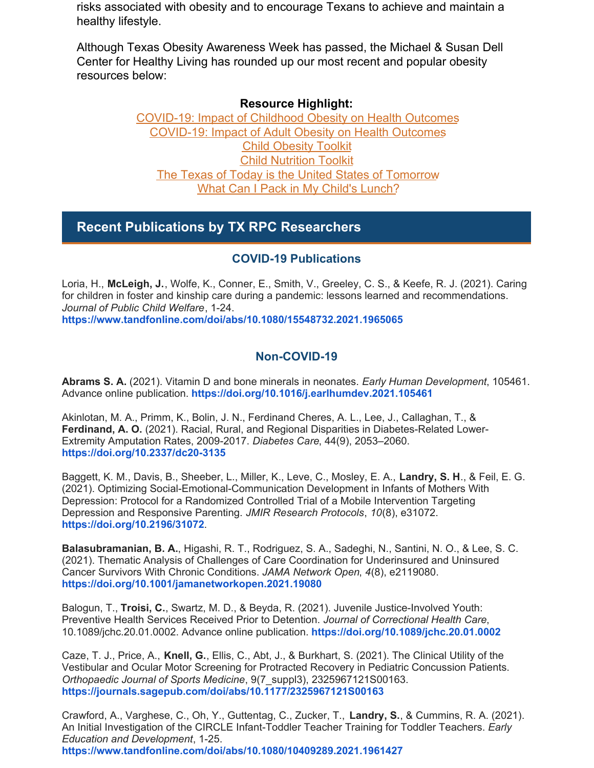risks associated with obesity and to encourage Texans to achieve and maintain a healthy lifestyle.

Although Texas Obesity Awareness Week has passed, the Michael & Susan Dell Center for Healthy Living has rounded up our most recent and popular obesity resources below:

#### **Resource Highlight:**

[COVID-19:](https://urldefense.proofpoint.com/v2/url?u=https-3A__r20.rs6.net_tn.jsp-3Ff-3D001X-2DXmppAdE-5FjSr829ehv9Bqi-5FBguhJyVjHthqk58HUv68TPooyDQWIyma7OtGtan-2D0Ea-5FgKmbfLNBhn-5F2FugGNSoz9faeqKo34-5FkoRcRioseJ9wG2AWPSANXbA-2DRVJEsPvDJoR4taiPJH-5FCDaN0zh-2DekfCMA37Rg6T9Aaeduow9MfJPNTpYgQRZSI60HCg-2DJsk8OyQe9dyOGjEeC4qxbnebj8QhmjJFDImITUmdsGlFCK0odiVtjI8lBhc0rEA2KJdlT4i666Mqs-3D-26c-3DytbwXeascvq5Ss2JVU9o-2Du5XIW07HrrrWOIg2aqp7aXB3gx75K-2DGdg-3D-3D-26ch-3D92JrrmdsfhQ3jcnLVte1mKWEAsQ83YCKht0rhkdCJTGWRzoEEeuutQ-3D-3D&d=DwMFaQ&c=bKRySV-ouEg_AT-w2QWsTdd9X__KYh9Eq2fdmQDVZgw&r=UxA7Pco1nIW5D52Vm1vCKbiX1EOcVM2SA0HT421mUkk&m=mQqiQY_qhiwD-ZPHUn0EfKDDMRUBPC3Kv1vpoR-IXYs&s=zWk3DwOZoQMFcEvW6SeKFfq0THBKufLb8IN2f7FSsh4&e=) Impact of Childhood Obesity on Health Outcomes [COVID-19:](https://urldefense.proofpoint.com/v2/url?u=https-3A__r20.rs6.net_tn.jsp-3Ff-3D001X-2DXmppAdE-5FjSr829ehv9Bqi-5FBguhJyVjHthqk58HUv68TPooyDQWIyma7OtGtan-2DWP1BelmbrNgUE4cVD0ME-5F0h7y-5FPrKYW8YLYEc7NR5xxdD-2DptOk8kSnZKeu1mX1mk5m5YND8AWA6XP2FuYrdKgOe18NMhZzwL-2DDKcv7qNYewQpy34fslBbG2bPpy1pK9XmOEs5xxbNZlK4oglawxhkZO0wEmTFQgCCSFemIXIuHni0Wjorcv7W9WQPsM3RBEOfjsWszKmMgM-3D-26c-3DytbwXeascvq5Ss2JVU9o-2Du5XIW07HrrrWOIg2aqp7aXB3gx75K-2DGdg-3D-3D-26ch-3D92JrrmdsfhQ3jcnLVte1mKWEAsQ83YCKht0rhkdCJTGWRzoEEeuutQ-3D-3D&d=DwMFaQ&c=bKRySV-ouEg_AT-w2QWsTdd9X__KYh9Eq2fdmQDVZgw&r=UxA7Pco1nIW5D52Vm1vCKbiX1EOcVM2SA0HT421mUkk&m=mQqiQY_qhiwD-ZPHUn0EfKDDMRUBPC3Kv1vpoR-IXYs&s=N4QVT3FSb0w8c894YZLU6LXT2Vmozq8bLQOyD6pc-6s&e=) Impact of Adult Obesity on Health Outcomes Child [Obesity](https://urldefense.proofpoint.com/v2/url?u=https-3A__r20.rs6.net_tn.jsp-3Ff-3D001X-2DXmppAdE-5FjSr829ehv9Bqi-5FBguhJyVjHthqk58HUv68TPooyDQWIyq8MuPYbP9zriaWGb6UiEXKJG3wpOPQFvW1p1FwslMXT2SC52J0-2DpalICZcOTeOVyrx4fiEZ6KdUAFij36K0yNXAeEZwdmlvlQagvzDRx2BGS5sJ8KCtXutASowTVGKTYp-2DciYioIOFtYi5aN4UZX4m8YAxwD-5F0bkgWSWVVODrni7OXozkiLQI-3D-26c-3DytbwXeascvq5Ss2JVU9o-2Du5XIW07HrrrWOIg2aqp7aXB3gx75K-2DGdg-3D-3D-26ch-3D92JrrmdsfhQ3jcnLVte1mKWEAsQ83YCKht0rhkdCJTGWRzoEEeuutQ-3D-3D&d=DwMFaQ&c=bKRySV-ouEg_AT-w2QWsTdd9X__KYh9Eq2fdmQDVZgw&r=UxA7Pco1nIW5D52Vm1vCKbiX1EOcVM2SA0HT421mUkk&m=mQqiQY_qhiwD-ZPHUn0EfKDDMRUBPC3Kv1vpoR-IXYs&s=7tRDm6BaRiZt7RLY0_jB7QMa775UpZbQsZ23cwb9o10&e=) Toolkit Child [Nutrition](https://urldefense.proofpoint.com/v2/url?u=https-3A__r20.rs6.net_tn.jsp-3Ff-3D001X-2DXmppAdE-5FjSr829ehv9Bqi-5FBguhJyVjHthqk58HUv68TPooyDQWIyozrSbiGtbsahZa9Rhgwvdp2-2DmSy5nSkLpNukCaxRW2IHE1ZWKG7Z-2DOUnzlC18kwvaMwnS7CLNxeCpdjDKDgrVZnhWc-2DLCzUVsPzL0OOec4AmDF3rgX1YecfCxD8Z-2DsBbWiPmQ8iNMKbk8wrhGVKqcxaHHYy-5FPFT8HK9YZ82LgiHNz9apaXNyNEo1ElotK85g-3D-3D-26c-3DytbwXeascvq5Ss2JVU9o-2Du5XIW07HrrrWOIg2aqp7aXB3gx75K-2DGdg-3D-3D-26ch-3D92JrrmdsfhQ3jcnLVte1mKWEAsQ83YCKht0rhkdCJTGWRzoEEeuutQ-3D-3D&d=DwMFaQ&c=bKRySV-ouEg_AT-w2QWsTdd9X__KYh9Eq2fdmQDVZgw&r=UxA7Pco1nIW5D52Vm1vCKbiX1EOcVM2SA0HT421mUkk&m=mQqiQY_qhiwD-ZPHUn0EfKDDMRUBPC3Kv1vpoR-IXYs&s=QABH53M5rIWsXjcCeTzXwV9pjAooauJrZFZvr7FFrDI&e=) Toolkit The Texas of Today is the United States of [Tomorrow](https://urldefense.proofpoint.com/v2/url?u=https-3A__r20.rs6.net_tn.jsp-3Ff-3D001X-2DXmppAdE-5FjSr829ehv9Bqi-5FBguhJyVjHthqk58HUv68TPooyDQWIyma7OtGtan-2D3LD7TPp2eKpFvlvBu-2Dq4kyPyx94WppKejJcqSrcCR-2D8hC96efs4SLtYPNaHbn7EntWwBRKUUBtQLRG2QYm-2DFrWCxh7ni4gh2VmWoYd7O5Bts3Dw-5FnVj-2DZr9Dgp31WQAkl2-5FPvLCNERlMTTso6P2pBxXYwWFo3m9rWIElXRcBkTBNDD6Jzeae-2Dg-3D-3D-26c-3DytbwXeascvq5Ss2JVU9o-2Du5XIW07HrrrWOIg2aqp7aXB3gx75K-2DGdg-3D-3D-26ch-3D92JrrmdsfhQ3jcnLVte1mKWEAsQ83YCKht0rhkdCJTGWRzoEEeuutQ-3D-3D&d=DwMFaQ&c=bKRySV-ouEg_AT-w2QWsTdd9X__KYh9Eq2fdmQDVZgw&r=UxA7Pco1nIW5D52Vm1vCKbiX1EOcVM2SA0HT421mUkk&m=mQqiQY_qhiwD-ZPHUn0EfKDDMRUBPC3Kv1vpoR-IXYs&s=xx6d9gkhE-JPQygseFp8WHvskgOOq3zuSw3d-gcxoeY&e=) What Can I Pack in My [Child's](https://urldefense.proofpoint.com/v2/url?u=https-3A__r20.rs6.net_tn.jsp-3Ff-3D001X-2DXmppAdE-5FjSr829ehv9Bqi-5FBguhJyVjHthqk58HUv68TPooyDQWIyma7OtGtan-2D8IE5fgp-5FwjXDinmwQnpQBG5aQMQXXgtCiGqAuDVu-5FEXfhHkWomgzbQ2GfP3uLg42IN3kXgN6vDUZN2k5aNuzFeoycAmPneZ264razRE3BZv-5FMYU3Anhb3rdA6ijO4YiQdV-2D5cSi88tu-5FXPl5266yEy-2DpbDmh3h28ZvJDYgkafRo-3D-26c-3DytbwXeascvq5Ss2JVU9o-2Du5XIW07HrrrWOIg2aqp7aXB3gx75K-2DGdg-3D-3D-26ch-3D92JrrmdsfhQ3jcnLVte1mKWEAsQ83YCKht0rhkdCJTGWRzoEEeuutQ-3D-3D&d=DwMFaQ&c=bKRySV-ouEg_AT-w2QWsTdd9X__KYh9Eq2fdmQDVZgw&r=UxA7Pco1nIW5D52Vm1vCKbiX1EOcVM2SA0HT421mUkk&m=mQqiQY_qhiwD-ZPHUn0EfKDDMRUBPC3Kv1vpoR-IXYs&s=cuGML4E3BgNyl4Tnq-yPgzU46DXOpTKOYdL_cv5tWc8&e=) Lunch?

## **Recent Publications by TX RPC Researchers**

#### **COVID-19 Publications**

Loria, H., **McLeigh, J.**, Wolfe, K., Conner, E., Smith, V., Greeley, C. S., & Keefe, R. J. (2021). Caring for children in foster and kinship care during a pandemic: lessons learned and recommendations. *Journal of Public Child Welfare*, 1-24.

**<https://www.tandfonline.com/doi/abs/10.1080/15548732.2021.1965065>**

#### **Non-COVID-19**

**Abrams S. A.** (2021). Vitamin D and bone minerals in neonates. *Early Human Development*, 105461. Advance online publication. **<https://doi.org/10.1016/j.earlhumdev.2021.105461>**

Akinlotan, M. A., Primm, K., Bolin, J. N., Ferdinand Cheres, A. L., Lee, J., Callaghan, T., & **Ferdinand, A. O.** (2021). Racial, Rural, and Regional Disparities in Diabetes-Related Lower-Extremity Amputation Rates, 2009-2017. *Diabetes Care*, 44(9), 2053–2060. **<https://doi.org/10.2337/dc20-3135>**

Baggett, K. M., Davis, B., Sheeber, L., Miller, K., Leve, C., Mosley, E. A., **Landry, S. H**., & Feil, E. G. (2021). Optimizing Social-Emotional-Communication Development in Infants of Mothers With Depression: Protocol for a Randomized Controlled Trial of a Mobile Intervention Targeting Depression and Responsive Parenting. *JMIR Research Protocols*, *10*(8), e31072. **<https://doi.org/10.2196/31072>**.

**Balasubramanian, B. A.**, Higashi, R. T., Rodriguez, S. A., Sadeghi, N., Santini, N. O., & Lee, S. C. (2021). Thematic Analysis of Challenges of Care Coordination for Underinsured and Uninsured Cancer Survivors With Chronic Conditions. *JAMA Network Open*, *4*(8), e2119080. **<https://doi.org/10.1001/jamanetworkopen.2021.19080>**

Balogun, T., **Troisi, C.**, Swartz, M. D., & Beyda, R. (2021). Juvenile Justice-Involved Youth: Preventive Health Services Received Prior to Detention. *Journal of Correctional Health Care*, 10.1089/jchc.20.01.0002. Advance online publication. **<https://doi.org/10.1089/jchc.20.01.0002>**

Caze, T. J., Price, A., **Knell, G.**, Ellis, C., Abt, J., & Burkhart, S. (2021). The Clinical Utility of the Vestibular and Ocular Motor Screening for Protracted Recovery in Pediatric Concussion Patients. *Orthopaedic Journal of Sports Medicine*, 9(7\_suppl3), 2325967121S00163. **<https://journals.sagepub.com/doi/abs/10.1177/2325967121S00163>**

Crawford, A., Varghese, C., Oh, Y., Guttentag, C., Zucker, T., **Landry, S.**, & Cummins, R. A. (2021). An Initial Investigation of the CIRCLE Infant-Toddler Teacher Training for Toddler Teachers. *Early Education and Development*, 1-25. **<https://www.tandfonline.com/doi/abs/10.1080/10409289.2021.1961427>**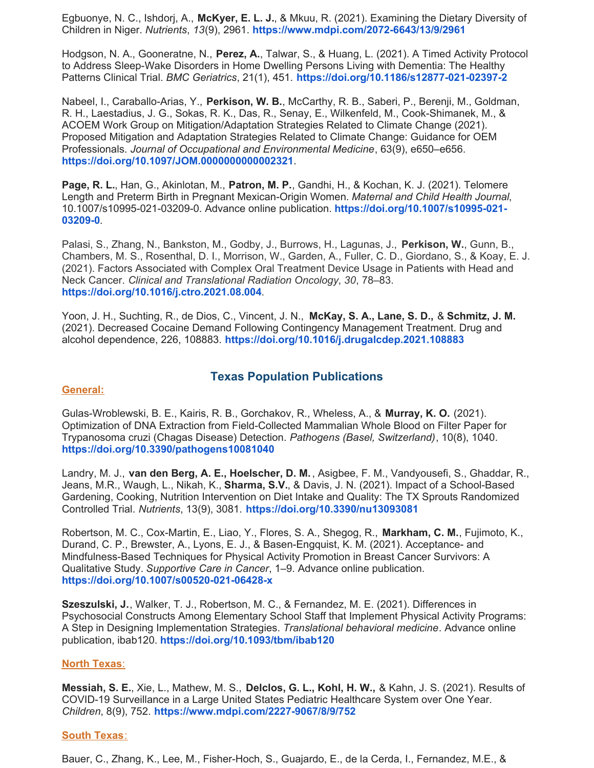Egbuonye, N. C., Ishdorj, A., **McKyer, E. L. J.**, & Mkuu, R. (2021). Examining the Dietary Diversity of Children in Niger. *Nutrients*, *13*(9), 2961. **<https://www.mdpi.com/2072-6643/13/9/2961>**

Hodgson, N. A., Gooneratne, N., **Perez, A.**, Talwar, S., & Huang, L. (2021). A Timed Activity Protocol to Address Sleep-Wake Disorders in Home Dwelling Persons Living with Dementia: The Healthy Patterns Clinical Trial. *BMC Geriatrics*, 21(1), 451. **<https://doi.org/10.1186/s12877-021-02397-2>**

Nabeel, I., Caraballo-Arias, Y., **Perkison, W. B.**, McCarthy, R. B., Saberi, P., Berenji, M., Goldman, R. H., Laestadius, J. G., Sokas, R. K., Das, R., Senay, E., Wilkenfeld, M., Cook-Shimanek, M., & ACOEM Work Group on Mitigation/Adaptation Strategies Related to Climate Change (2021). Proposed Mitigation and Adaptation Strategies Related to Climate Change: Guidance for OEM Professionals. *Journal of Occupational and Environmental Medicine*, 63(9), e650–e656. **<https://doi.org/10.1097/JOM.0000000000002321>**.

**Page, R. L.**, Han, G., Akinlotan, M., **Patron, M. P.**, Gandhi, H., & Kochan, K. J. (2021). Telomere Length and Preterm Birth in Pregnant Mexican-Origin Women. *Maternal and Child Health Journal*, 10.1007/s10995-021-03209-0. Advance online publication. **[https://doi.org/10.1007/s10995-021-](https://doi.org/10.1007/s10995-021-03209-0) 03209-0**.

Palasi, S., Zhang, N., Bankston, M., Godby, J., Burrows, H., Lagunas, J., **Perkison, W.**, Gunn, B., Chambers, M. S., Rosenthal, D. I., Morrison, W., Garden, A., Fuller, C. D., Giordano, S., & Koay, E. J. (2021). Factors Associated with Complex Oral Treatment Device Usage in Patients with Head and Neck Cancer. *Clinical and Translational Radiation Oncology*, *30*, 78–83. **<https://doi.org/10.1016/j.ctro.2021.08.004>**.

Yoon, J. H., Suchting, R., de Dios, C., Vincent, J. N., **McKay, S. A., Lane, S. D.,** & **Schmitz, J. M.** (2021). Decreased Cocaine Demand Following Contingency Management Treatment. Drug and alcohol dependence, 226, 108883. **<https://doi.org/10.1016/j.drugalcdep.2021.108883>**

#### **Texas Population Publications**

#### **General:**

Gulas-Wroblewski, B. E., Kairis, R. B., Gorchakov, R., Wheless, A., & **Murray, K. O.** (2021). Optimization of DNA Extraction from Field-Collected Mammalian Whole Blood on Filter Paper for Trypanosoma cruzi (Chagas Disease) Detection. *Pathogens (Basel, Switzerland)*, 10(8), 1040. **<https://doi.org/10.3390/pathogens10081040>**

Landry, M. J., **van den Berg, A. E., Hoelscher, D. M.** , Asigbee, F. M., Vandyousefi, S., Ghaddar, R., Jeans, M.R., Waugh, L., Nikah, K., **Sharma, S.V.**, & Davis, J. N. (2021). Impact of a School-Based Gardening, Cooking, Nutrition Interven[ti](https://doi.org/10.3390/nu13093081)on on Diet Intake and Quality: The TX Sprouts Randomized Controlled Trial. *Nutrients*, 13(9), 3081. **<https://doi.org/10.3390/nu13093081>**

Robertson, M. C., Cox-Martin, E., Liao, Y., Flores, S. A., Shegog, R., **Markham, C. M.**, Fujimoto, K., Durand, C. P., Brewster, A., Lyons, E. J., & Basen-Engquist, K. M. (2021). Acceptance- and Mindfulness-Based Techniques for Physical Activity Promotion in Breast Cancer Survivors: A Qualitative Study. *Supportive Care in Cancer*, 1–9. Advance online publication. **<https://doi.org/10.1007/s00520-021-06428-x>**

**Szeszulski, J.**, Walker, T. J., Robertson, M. C., & Fernandez, M. E. (2021). Differences in Psychosocial Constructs Among Elementary School Staff that Implement Physical Activity Programs: A Step in Designing Implementation Strategies. *Translational behavioral medicine*. Advance online publication, ibab120. **<https://doi.org/10.1093/tbm/ibab120>**

#### **North Texas**:

**Messiah, S. E.**, Xie, L., Mathew, M. S., **Delclos, G. L., Kohl, H. W.,** & Kahn, J. S. (2021). Results of COVID-19 Surveillance in a Large United States Pediatric Healthcare System over One Year. *Children*, 8(9), 752. **<https://www.mdpi.com/2227-9067/8/9/752>**

#### **South Texas**:

Bauer, C., Zhang, K., Lee, M., Fisher-Hoch, S., Guajardo, E., de la Cerda, I., Fernandez, M.E., &